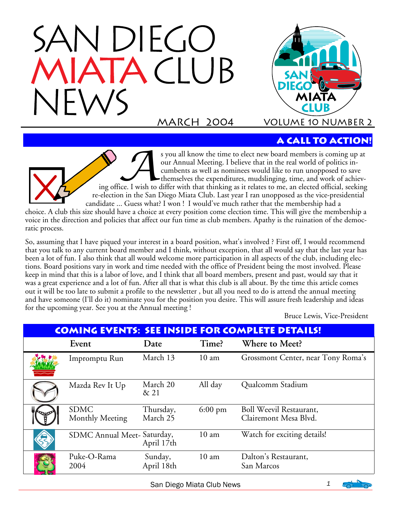# $DFC(C)$



# **A call to action!**

S you all know the time to elect new board members is coming up at our Annual Meeting. I believe that in the real world of politics in-<br>cumbents as well as nominees would like to run unopposed to save<br>themselves the expend our Annual Meeting. I believe that in the real world of politics incumbents as well as nominees would like to run unopposed to save themselves the expenditures, mudslinging, time, and work of achievre-election in the San Diego Miata Club. Last year I ran unopposed as the vice-presidential candidate ... Guess what? I won ! I would've much rather that the membership had a

choice. A club this size should have a choice at every position come election time. This will give the membership a voice in the direction and policies that affect our fun time as club members. Apathy is the ruination of the democratic process.

So, assuming that I have piqued your interest in a board position, what's involved ? First off, I would recommend that you talk to any current board member and I think, without exception, that all would say that the last year has been a lot of fun. I also think that all would welcome more participation in all aspects of the club, including elections. Board positions vary in work and time needed with the office of President being the most involved. Please keep in mind that this is a labor of love, and I think that all board members, present and past, would say that it was a great experience and a lot of fun. After all that is what this club is all about. By the time this article comes out it will be too late to submit a profile to the newsletter , but all you need to do is attend the annual meeting and have someone (I'll do it) nominate you for the position you desire. This will assure fresh leadership and ideas for the upcoming year. See you at the Annual meeting !

Bruce Lewis, Vice-President

| <b>COMING EVENTS: SEE INSIDE FOR COMPLETE DETAILS!</b> |                                |                       |                   |                                                  |
|--------------------------------------------------------|--------------------------------|-----------------------|-------------------|--------------------------------------------------|
|                                                        | Event                          | Date                  | Time?             | Where to Meet?                                   |
|                                                        | Impromptu Run                  | March 13              | $10 \text{ am}$   | Grossmont Center, near Tony Roma's               |
|                                                        | Mazda Rev It Up                | March 20<br>& 21      | All day           | Qualcomm Stadium                                 |
|                                                        | <b>SDMC</b><br>Monthly Meeting | Thursday,<br>March 25 | $6:00 \text{ pm}$ | Boll Weevil Restaurant,<br>Clairemont Mesa Blvd. |
| Ę                                                      | SDMC Annual Meet- Saturday,    | April 17th            | 10 <sub>am</sub>  | Watch for exciting details!                      |
|                                                        | Puke-O-Rama<br>2004            | Sunday,<br>April 18th | 10 <sub>am</sub>  | Dalton's Restaurant,<br>San Marcos               |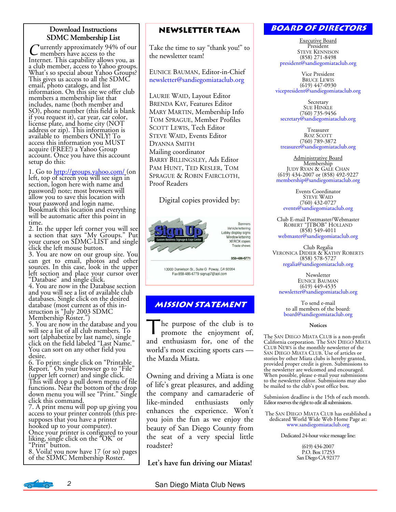### **Download Instructions SDMC Membership List**

C urrently approximately 94% of our<br>Internet. This capability allows you, as Internet. This capability allows you, as<br>a club member, access to Yahoo groups. What's so special about Yahoo Groups? This gives us access to all the SDMC email, photo catalogs, and list information. On this site we offer club members a membership list that includes, name (both member and SO), phone number (this field is blank if you request it), car year, car color, license plate, and home city (NOT address or zip). This information is available to members ONLY! To access this information you MUST acquire (FREE!) a Yahoo Group account. Once you have this account setup do this:

1. Go to http://groups.yahoo.com/ (on left, top of screen you will see sign in section, logon here with name and password) note; most browsers will allow you to save this location with your password and login name. Bookmark this location and everything will be automatic after this point in time.

2. In the upper left corner you will see a section that says "My Groups." Put your cursor on SDMC-LIST and single click the left mouse button.

3. You are now on our group site. You can get to email, photos and other sources. In this case, look in the upper left section and place your cursor over "Database" and single click.

4. You are now in the Database section and you will see a list of available club databases. Single click on the desired database (most current as of this instruction is "July 2003 SDMC Membership Roster.")

5. You are now in the database and you will see a list of all club members. To sort (alphabetize by last name), single<br>click on the field labeled "Last Name." You can sort on any other field you desire.

6. To print; single click on "Printable Report." On your browser go to "File" (upper left corner) and single click. This will drop a pull down menu of file functions. Near the bottom of the drop down menu you will see "Print." Single click this command.

7. A print menu will pop up giving you access to your printer controls (this presupposes that you have a printer hooked up to your computer). Once your printer is configured to your liking, single click on the "OK" or "Print" button.

8. Voila! you now have 17 (or so) pages of the SDMC Membership Roster.

### **Newsletter Team**

Take the time to say "thank you!" to the newsletter team!

EUNICE BAUMAN, Editor-in-Chief newsletter@sandiegomiataclub.org

LAURIE WAID, Layout Editor BRENDA KAY, Features Editor MARY MARTIN, Membership Info TOM SPRAGUE, Member Profiles SCOTT LEWIS, Tech Editor STEVE WAID, Events Editor DYANNA SMITH Mailing coordinator BARRY BILLINGSLEY, Ads Editor PAM HUNT, TED KESLER, TOM SPRAGUE & ROBIN FAIRCLOTH, Proof Readers

Digital copies provided by:



13000 Danielson St., Suite G Poway, CA 92064 Fax 858-486-6779 signup7@aol.com

### **Mission statement**

The purpose of the club is to promote the enjoyment of, and enthusiasm for, one of the world's most exciting sports cars the Mazda Miata.

Owning and driving a Miata is one of life's great pleasures, and adding the company and camaraderie of like-minded enthusiasts only enhances the experience. Won't you join the fun as we enjoy the beauty of San Diego County from the seat of a very special little roadster?

**Let's have fun driving our Miatas!** 

### **Board of Directors**

Executive Board President STEVE KENNISON (858) 271-8498 president@sandiegomiataclub.org

Vice President BRUCE LEWIS (619) 447-0930 vicepresident@sandiegomiataclub.org

Secretary **SUE HINKLE** (760) 735-9456 secretary@sandiegomiataclub.org

Treasurer ROZ SCOTT (760) 789-3872 treasurer@sandiegomiataclub.org

Administrative Board Membership JUDY RYAN & GALE CHAN (619) 434-2007 or (858) 492-9227 membership@sandiegomiataclub.org

Events Coordinator STEVE WAID (760) 432-0727 events@sandiegomiataclub.org

Club E-mail Postmaster/Webmaster ROBERT "JTBOB" HOLLAND (858) 549-4011 webmaster@sandiegomiataclub.org

Club Regalia VERONICA DIDIER & KATHY ROBERTS (858) 578-5727 regalia@sandiegomiataclub.org

Newsletter EUNICE BAUMAN (619) 449-4535 newsletter@sandiegomiataclub.org

To send e-mail to all members of the board: board@sandiegomiataclub.org

### **Notices**

The SAN DIEGO MIATA CLUB is a non-profit California corporation. The SAN DIEGO MIATA CLUB NEWS is the monthly newsletter of the SAN DIEGO MIATA CLUB. Use of articles or stories by other Miata clubs is hereby granted,<br>provided proper credit is given. Submissions to the newsletter are welcomed and encouraged. When possible, please e-mail your submissions to the newsletter editor. Submissions may also be mailed to the club's post office box.

Submission deadline is the 15th of each month. Editor reserves the right to edit all submissions.

The SAN DIEGO MIATA CLUB has established a dedicated World Wide Web Home Page at: www.sandiegomiataclub.org

Dedicated 24-hour voice message line:

(619) 434-2007 P.O. Box 17253 San Diego CA 92177



2 **2 San Diego Miata Club News**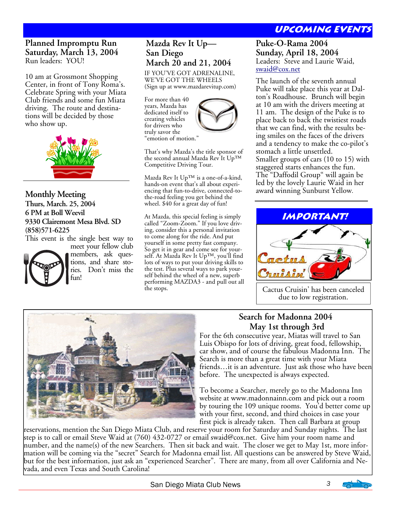# **Upcoming Events**

### **Planned Impromptu Run Saturday, March 13, 2004**  Run leaders: YOU!

10 am at Grossmont Shopping Center, in front of Tony Roma's. Celebrate Spring with your Miata Club friends and some fun Miata driving. The route and destinations will be decided by those who show up.



**Monthly Meeting Thurs, March. 25, 2004 6 PM at Boll Weevil 9330 Clairemont Mesa Blvd. SD (858)571-6225** 

This event is the single best way to



meet your fellow club members, ask questions, and share stories. Don't miss the fun!

# **Mazda Rev It Up— San Diego March 20 and 21, 2004**

IF YOU'VE GOT ADRENALINE, WE'VE GOT THE WHEELS (Sign up at www.mazdarevitup.com)

For more than 40 years, Mazda has dedicated itself to creating vehicles for drivers who truly savor the "emotion of motion."



That's why Mazda's the title sponsor of the second annual Mazda Rev It Up™ Competitive Driving Tour.

Mazda Rev It Up™ is a one-of-a-kind, hands-on event that's all about experiencing that fun-to-drive, connected-tothe-road feeling you get behind the wheel. \$40 for a great day of fun!

At Mazda, this special feeling is simply called "Zoom-Zoom." If you love driving, consider this a personal invitation to come along for the ride. And put yourself in some pretty fast company. So get it in gear and come see for yourself. At Mazda Rev It Up™, you'll find lots of ways to put your driving skills to the test. Plus several ways to park yourself behind the wheel of a new, superb performing MAZDA3 - and pull out all the stops.

**Puke-O-Rama 2004 Sunday, April 18, 2004**  Leaders: Steve and Laurie Waid, swaid@cox.net

The launch of the seventh annual Puke will take place this year at Dalton's Roadhouse. Brunch will begin at 10 am with the drivers meeting at 11 am. The design of the Puke is to place back to back the twistiest roads that we can find, with the results being smiles on the faces of the drivers and a tendency to make the co-pilot's stomach a little unsettled. Smaller groups of cars (10 to 15) with staggered starts enhances the fun. The "Daffodil Group" will again be led by the lovely Laurie Waid in her award winning Sunburst Yellow.



Cactus Cruisin' has been canceled due to low registration.



# **Search for Madonna 2004 May 1st through 3rd**

For the 6th consecutive year, Miatas will travel to San Luis Obispo for lots of driving, great food, fellowship, car show, and of course the fabulous Madonna Inn. The Search is more than a great time with your Miata friends…it is an adventure. Just ask those who have been before. The unexpected is always expected.

To become a Searcher, merely go to the Madonna Inn website at www.madonnainn.com and pick out a room by touring the 109 unique rooms. You'd better come up with your first, second, and third choices in case your first pick is already taken. Then call Barbara at group

reservations, mention the San Diego Miata Club, and reserve your room for Saturday and Sunday nights. The last step is to call or email Steve Waid at (760) 432-0727 or email swaid@cox.net. Give him your room name and number, and the name(s) of the new Searchers. Then sit back and wait. The closer we get to May 1st, more information will be coming via the "secret" Search for Madonna email list. All questions can be answered by Steve Waid, but for the best information, just ask an "experienced Searcher". There are many, from all over California and Nevada, and even Texas and South Carolina!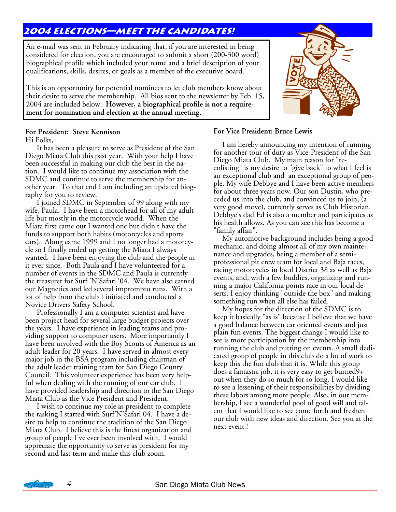# **2004 elections—meet the candidates!**

An e-mail was sent in February indicating that, if you are interested in being considered for election, you are encouraged to submit a short (200-300 word) biographical profile which included your name and a brief description of your qualifications, skills, desires, or goals as a member of the executive board.

This is an opportunity for potential nominees to let club members know about their desire to serve the membership. All bios sent to the newsletter by Feb. 15, 2004 are included below. **However, a biographical profile is not a requirement for nomination and election at the annual meeting.** 



### **For President: Steve Kennison**  Hi Folks,

 It has been a pleasure to serve as President of the San Diego Miata Club this past year. With your help I have been successful in making our club the best in the nation. I would like to continue my association with the SDMC and continue to serve the membership for another year. To that end I am including an updated biography for you to review.

 I joined SDMC in September of 99 along with my wife, Paula. I have been a motorhead for all of my adult life but mostly in the motorcycle world. When the Miata first came out I wanted one but didn't have the funds to support both habits (motorcycles and sports cars). Along came 1999 and I no longer had a motorcycle so I finally ended up getting the Miata I always wanted. I have been enjoying the club and the people in it ever since. Both Paula and I have volunteered for a number of events in the SDMC and Paula is currently the treasurer for Surf 'N'Safari '04. We have also earned our Magnetics and led several impromptu runs. With a lot of help from the club I initiated and conducted a Novice Drivers Safety School.

 Professionally I am a computer scientist and have been project head for several large budget projects over the years. I have experience in leading teams and providing support to computer users. More importantly I have been involved with the Boy Scouts of America as an adult leader for 20 years. I have served in almost every major job in the BSA program including chairman of the adult leader training team for San Diego County Council. This volunteer experience has been very helpful when dealing with the running of our car club. I have provided leadership and direction to the San Diego Miata Club as the Vice President and President.

 I wish to continue my role as president to complete the tasking I started with Surf'N'Safari 04. I have a desire to help to continue the tradition of the San Diego Miata Club. I believe this is the finest organization and group of people I've ever been involved with. I would appreciate the opportunity to serve as president for my second and last term and make this club zoom.

### **For Vice President: Bruce Lewis**

I am hereby announcing my intention of running for another tour of duty as Vice-President of the San Diego Miata Club. My main reason for "reenlisting" is my desire to "give back" to what I feel is an exceptional club and an exceptional group of people. My wife Debbye and I have been active members for about three years now. Our son Dustin, who preceded us into the club, and convinced us to join, (a very good move), currently serves as Club Historian. Debbye's dad Ed is also a member and participates as his health allows. As you can see this has become a "family affair".

 My automotive background includes being a good mechanic, and doing almost all of my own maintenance and upgrades, being a member of a semiprofessional pit crew team for local and Baja races, racing motorcycles in local District 38 as well as Baja events, and, with a few buddies, organizing and running a major California points race in our local deserts. I enjoy thinking "outside the box" and making something run when all else has failed.

 My hopes for the direction of the SDMC is to keep it basically "as is" because I believe that we have a good balance between car oriented events and just plain fun events. The biggest change I would like to see is more participation by the membership into running the club and putting on events. A small dedicated group of people in this club do a lot of work to keep this the fun club that it is. While this group does a fantastic job, it is very easy to get burned9+ out when they do so much for so long. I would like to see a lessening of their responsibilities by dividing these labors among more people. Also, in our membership, I see a wonderful pool of good will and talent that I would like to see come forth and freshen our club with new ideas and direction. See you at the next event !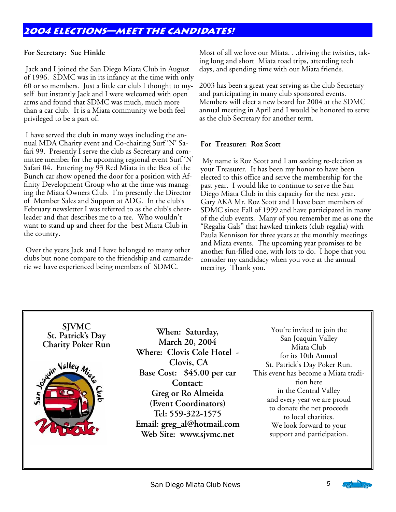# **2004 elections—meet the candidates!**

### **For Secretary: Sue Hinkle**

 Jack and I joined the San Diego Miata Club in August of 1996. SDMC was in its infancy at the time with only 60 or so members. Just a little car club I thought to myself but instantly Jack and I were welcomed with open arms and found that SDMC was much, much more than a car club. It is a Miata community we both feel privileged to be a part of.

 I have served the club in many ways including the annual MDA Charity event and Co-chairing Surf 'N' Safari 99. Presently I serve the club as Secretary and committee member for the upcoming regional event Surf 'N' Safari 04. Entering my 93 Red Miata in the Best of the Bunch car show opened the door for a position with Affinity Development Group who at the time was managing the Miata Owners Club. I'm presently the Director of Member Sales and Support at ADG. In the club's February newsletter I was referred to as the club's cheerleader and that describes me to a tee. Who wouldn't want to stand up and cheer for the best Miata Club in the country.

 Over the years Jack and I have belonged to many other clubs but none compare to the friendship and camaraderie we have experienced being members of SDMC.

Most of all we love our Miata. . .driving the twisties, taking long and short Miata road trips, attending tech days, and spending time with our Miata friends.

2003 has been a great year serving as the club Secretary and participating in many club sponsored events. Members will elect a new board for 2004 at the SDMC annual meeting in April and I would be honored to serve as the club Secretary for another term.

### **For Treasurer: Roz Scott**

 My name is Roz Scott and I am seeking re-election as your Treasurer. It has been my honor to have been elected to this office and serve the membership for the past year. I would like to continue to serve the San Diego Miata Club in this capacity for the next year. Gary AKA Mr. Roz Scott and I have been members of SDMC since Fall of 1999 and have participated in many of the club events. Many of you remember me as one the "Regalia Gals" that hawked trinkets (club regalia) with Paula Kennison for three years at the monthly meetings and Miata events. The upcoming year promises to be another fun-filled one, with lots to do. I hope that you consider my candidacy when you vote at the annual meeting. Thank you.



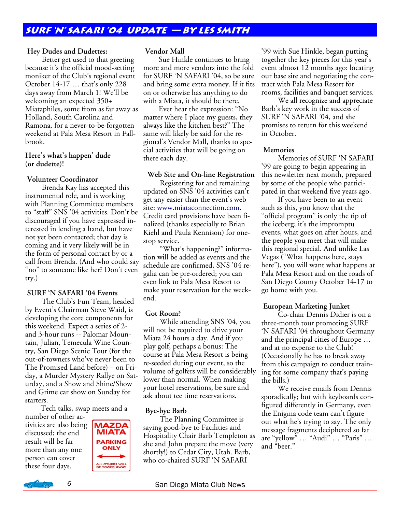# **Surf 'N' Safari '04 update — by les smith**

### **Hey Dudes and Dudettes:**

 Better get used to that greeting because it's the official mood-setting moniker of the Club's regional event October 14-17 … that's only 228 days away from March 1! We'll be welcoming an expected 350+ Miataphiles, some from as far away as Holland, South Carolina and Ramona, for a never-to-be-forgotten weekend at Pala Mesa Resort in Fallbrook.

### **Here's what's happen' dude (or dudette)!**

### **Volunteer Coordinator**

 Brenda Kay has accepted this instrumental role, and is working with Planning Committee members to "staff" SNS '04 activities. Don't be discouraged if you have expressed interested in lending a hand, but have not yet been contacted; that day is coming and it very likely will be in the form of personal contact by or a call from Brenda. (And who could say "no" to someone like her? Don't even try.)

### **SURF 'N SAFARI '04 Events**

 The Club's Fun Team, headed by Event's Chairman Steve Waid, is developing the core components for this weekend. Expect a series of 2 and 3-hour runs -- Palomar Mountain, Julian, Temecula Wine Country, San Diego Scenic Tour (for the out-of-towners who've never been to The Promised Land before) – on Friday, a Murder Mystery Rallye on Saturday, and a Show and Shine/Show and Grime car show on Sunday for starters.

Tech talks, swap meets and a

number of other activities are also being discussed; the end result will be far more than any one person can cover these four days.



### **Vendor Mall**

 Sue Hinkle continues to bring more and more vendors into the fold for SURF 'N SAFARI '04, so be sure and bring some extra money. If it fits on or otherwise has anything to do with a Miata, it should be there.

 Ever hear the expression: "No matter where I place my guests, they always like the kitchen best?" The same will likely be said for the regional's Vendor Mall, thanks to special activities that will be going on there each day.

### **Web Site and On-line Registration**

Registering for and remaining updated on SNS '04 activities can't get any easier than the event's web site: www.miataconnection.com. Credit card provisions have been finalized (thanks especially to Brian Kiehl and Paula Kennison) for onestop service.

"What's happening?" information will be added as events and the schedule are confirmed, SNS '04 regalia can be pre-ordered; you can even link to Pala Mesa Resort to make your reservation for the weekend.

### **Got Room?**

While attending SNS '04, you will not be required to drive your Miata 24 hours a day. And if you play golf, perhaps a bonus: The course at Pala Mesa Resort is being re-seeded during our event, so the volume of golfers will be considerably lower than normal. When making your hotel reservations, be sure and ask about tee time reservations.

### **Bye-bye Barb**

The Planning Committee is saying good-bye to Facilities and Hospitality Chair Barb Templeton as she and John prepare the move (very shortly!) to Cedar City, Utah. Barb, who co-chaired SURF 'N SAFARI

'99 with Sue Hinkle, began putting together the key pieces for this year's event almost 12 months ago: locating our base site and negotiating the contract with Pala Mesa Resort for rooms, facilities and banquet services.

We all recognize and appreciate Barb's key work in the success of SURF 'N SAFARI '04, and she promises to return for this weekend in October.

### **Memories**

Memories of SURF 'N SAFARI '99 are going to begin appearing in this newsletter next month, prepared by some of the people who participated in that weekend five years ago.

If you have been to an event such as this, you know that the "official program" is only the tip of the iceberg; it's the impromptu events, what goes on after hours, and the people you meet that will make this regional special. And unlike Las Vegas ("What happens here, stays here"), you will want what happens at Pala Mesa Resort and on the roads of San Diego County October 14-17 to go home with you.

### **European Marketing Junket**

Co-chair Dennis Didier is on a three-month tour promoting SURF 'N SAFARI '04 throughout Germany and the principal cities of Europe … and at no expense to the Club! (Occasionally he has to break away from this campaign to conduct training for some company that's paying the bills.)

We receive emails from Dennis sporadically; but with keyboards configured differently in Germany, even the Enigma code team can't figure out what he's trying to say. The only message fragments deciphered so far are "yellow" … "Audi" … "Paris" … and "beer."



*6* San Diego Miata Club News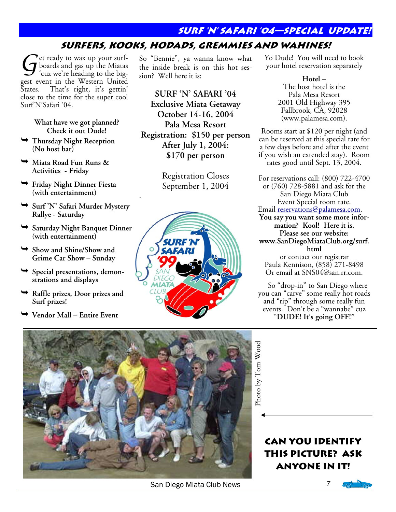# **Surf 'N' Safari '04—special update!**

# **Surfers, Kooks, Hodads, Gremmies and Wahines!**

 $\mathbf{G}^{\text{et ready to wax up your surf-}}$  boards and gas up the Miatas boards and gas up the Miatas 'cuz we're heading to the biggest event in the Western United States. That's right, it's gettin' close to the time for the super cool Surf'N'Safari '04.

> **What have we got planned? Check it out Dude!**

- ¬ **Thursday Night Reception (No host bar)**
- ¬ **Miata Road Fun Runs & Activities - Friday**
- ¬ **Friday Night Dinner Fiesta (with entertainment)**
- ¬ **Surf 'N' Safari Murder Mystery Rallye - Saturday**
- ¬ **Saturday Night Banquet Dinner (with entertainment)**
- ¬ **Show and Shine/Show and Grime Car Show – Sunday**
- ¬ **Special presentations, demonstrations and displays**
- ¬ **Raffle prizes, Door prizes and Surf prizes!**
- ¬ **Vendor Mall Entire Event**

So "Bennie", ya wanna know what the inside break is on this hot session? Well here it is:

**SURF 'N' SAFARI '04 Exclusive Miata Getaway October 14-16, 2004 Pala Mesa Resort Registration: \$150 per person After July 1, 2004: \$170 per person** 

> Registration Closes September 1, 2004



Yo Dude! You will need to book your hotel reservation separately

> **Hotel –**  The host hotel is the Pala Mesa Resort 2001 Old Highway 395 Fallbrook, CA, 92028 (www.palamesa.com).

Rooms start at \$120 per night (and can be reserved at this special rate for a few days before and after the event if you wish an extended stay). Room rates good until Sept. 13, 2004.

For reservations call: (800) 722-4700 or (760) 728-5881 and ask for the San Diego Miata Club Event Special room rate. Email reservations@palamesa.com. **You say you want some more information? Kool! Here it is. Please see our website: www.SanDiegoMiataClub.org/surf. html**  or contact our registrar Paula Kennison, (858) 271-8498 Or email at SNS04@san.rr.com.

 So "drop-in" to San Diego where you can "carve" some really hot roads and "rip" through some really fun events. Don't be a "wannabe" cuz "**DUDE! It's going OFF!"** 



.

San Diego Miata Club News *7* 

**anyone in it!** 

**Can you identify this picture? Ask** 

Photo by Tom Wood

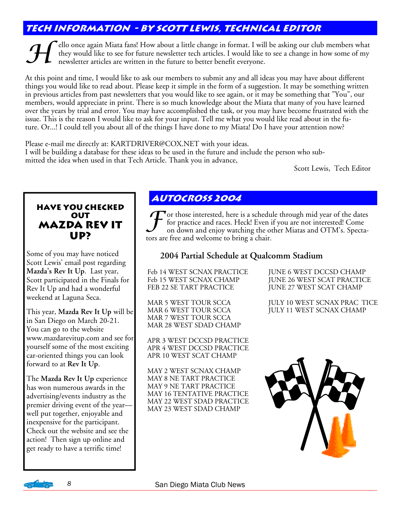# **Tech information - By Scott Lewis, Technical Editor**

Fello once again Miata fans! How about a little change in format. I will be asking our club members what they would like to see for future newsletter tech articles. I would like to see a change in how some of my newsletter they would like to see for future newsletter tech articles. I would like to see a change in how some of my newsletter articles are written in the future to better benefit everyone.

At this point and time, I would like to ask our members to submit any and all ideas you may have about different things you would like to read about. Please keep it simple in the form of a suggestion. It may be something written in previous articles from past newsletters that you would like to see again, or it may be something that "You", our members, would appreciate in print. There is so much knowledge about the Miata that many of you have learned over the years by trial and error. You may have accomplished the task, or you may have become frustrated with the issue. This is the reason I would like to ask for your input. Tell me what you would like read about in the future. Or...! I could tell you about all of the things I have done to my Miata! Do I have your attention now?

Please e-mail me directly at: KARTDRIVER@COX.NET with your ideas. I will be building a database for these ideas to be used in the future and include the person who submitted the idea when used in that Tech Article. Thank you in advance,

Scott Lewis, Tech Editor

# **Have you checked out Mazda Rev It Up?**

Some of you may have noticed Scott Lewis' email post regarding **Mazda's Rev It Up**. Last year, Scott participated in the Finals for Rev It Up and had a wonderful weekend at Laguna Seca.

This year, **Mazda Rev It Up** will be in San Diego on March 20-21. You can go to the website www.mazdarevitup.com and see for yourself some of the most exciting car-oriented things you can look forward to at **Rev It Up**.

The **Mazda Rev It Up** experience has won numerous awards in the advertising/events industry as the premier driving event of the year well put together, enjoyable and inexpensive for the participant. Check out the website and see the action! Then sign up online and get ready to have a terrific time!

# **Autocross 2004**

**F** or those interested, here is a schedule through mid year of the dates<br>for practice and races. Heck! Even if you are not interested! Come<br>on down and enjoy watching the other Miatas and OTM's. Spectafor practice and races. Heck! Even if you are not interested! Come on down and enjoy watching the other Miatas and OTM's. Spectators are free and welcome to bring a chair.

# **2004 Partial Schedule at Qualcomm Stadium**

Feb 14 WEST SCNAX PRACTICE Feb 15 WEST SCNAX CHAMP FEB 22 SE TART PRACTICE

MAR 5 WEST TOUR SCCA MAR 6 WEST TOUR SCCA MAR 7 WEST TOUR SCCA MAR 28 WEST SDAD CHAMP

APR 3 WEST DCCSD PRACTICE APR 4 WEST DCCSD PRACTICE APR 10 WEST SCAT CHAMP

MAY 2 WEST SCNAX CHAMP MAY 8 NE TART PRACTICE MAY 9 NE TART PRACTICE MAY 16 TENTATIVE PRACTICE MAY 22 WEST SDAD PRACTICE MAY 23 WEST SDAD CHAMP

JUNE 6 WEST DCCSD CHAMP JUNE 26 WEST SCAT PRACTICE JUNE 27 WEST SCAT CHAMP

JULY 10 WEST SCNAX PRAC TICE JULY 11 WEST SCNAX CHAMP



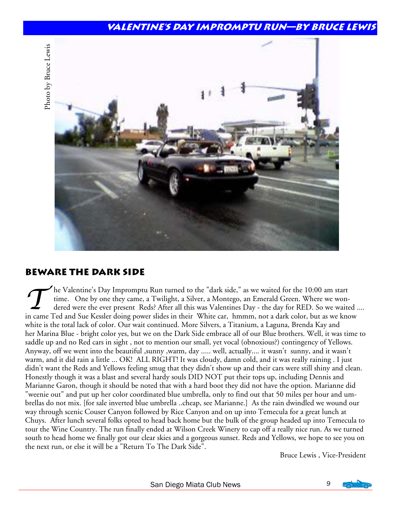# **Valentine's day impromptu run—by bruce lewis**



# **BEWARE THE DARK SIDE**

The Valentine's Day Impromptu Run turned to the "dark side," as we waited for the 10:00 am start<br>time. One by one they came, a Twilight, a Silver, a Montego, an Emerald Green. Where we won-<br>dered were the ever present Reds time. One by one they came, a Twilight, a Silver, a Montego, an Emerald Green. Where we wondered were the ever present Reds? After all this was Valentines Day - the day for RED. So we waited .... in came Ted and Sue Kessler doing power slides in their White car, hmmm, not a dark color, but as we know white is the total lack of color. Our wait continued. More Silvers, a Titanium, a Laguna, Brenda Kay and her Marina Blue - bright color yes, but we on the Dark Side embrace all of our Blue brothers. Well, it was time to saddle up and no Red cars in sight , not to mention our small, yet vocal (obnoxious?) contingency of Yellows. Anyway, off we went into the beautiful ,sunny ,warm, day ..... well, actually.... it wasn't sunny, and it wasn't warm, and it did rain a little ... OK! ALL RIGHT! It was cloudy, damn cold, and it was really raining . I just didn't want the Reds and Yellows feeling smug that they didn't show up and their cars were still shiny and clean. Honestly though it was a blast and several hardy souls DID NOT put their tops up, including Dennis and Marianne Garon, though it should be noted that with a hard boot they did not have the option. Marianne did "weenie out" and put up her color coordinated blue umbrella, only to find out that 50 miles per hour and umbrellas do not mix. [for sale inverted blue umbrella ..cheap, see Marianne.] As the rain dwindled we wound our way through scenic Couser Canyon followed by Rice Canyon and on up into Temecula for a great lunch at Chuys. After lunch several folks opted to head back home but the bulk of the group headed up into Temecula to tour the Wine Country. The run finally ended at Wilson Creek Winery to cap off a really nice run. As we turned south to head home we finally got our clear skies and a gorgeous sunset. Reds and Yellows, we hope to see you on the next run, or else it will be a "Return To The Dark Side".

Bruce Lewis , Vice-President

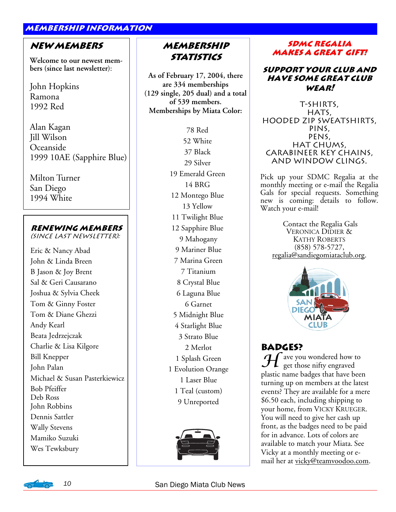### **membership information**

## **New Members**

**Welcome to our newest members (since last newsletter**):

John Hopkins Ramona 1992 Red

Alan Kagan Jill Wilson Oceanside 1999 10AE (Sapphire Blue)

Milton Turner San Diego 1994 White

### **Renewing members**  (since last newsletter):

Eric & Nancy Abad John & Linda Breen B Jason & Joy Brent Sal & Geri Causarano Joshua & Sylvia Cheek Tom & Ginny Foster Tom & Diane Ghezzi Andy Kearl Beata Jedrzejczak Charlie & Lisa Kilgore Bill Knepper John Palan Michael & Susan Pasterkiewicz Bob Pfeiffer Deb Ross John Robbins Dennis Sattler Wally Stevens Mamiko Suzuki Wes Tewksbury

# **Membership Statistics**

**As of February 17, 2004, there are 334 memberships (129 single, 205 dual) and a total of 539 members. Memberships by Miata Color:** 

> 78 Red 52 White 37 Black 29 Silver 19 Emerald Green 14 BRG 12 Montego Blue 13 Yellow 11 Twilight Blue 12 Sapphire Blue 9 Mahogany 9 Mariner Blue 7 Marina Green 7 Titanium 8 Crystal Blue 6 Laguna Blue 6 Garnet 5 Midnight Blue 4 Starlight Blue 3 Strato Blue 2 Merlot 1 Splash Green 1 Evolution Orange 1 Laser Blue 1 Teal (custom) 9 Unreported



### **SDMC REGALIA makes a great gift! makes a great gift!**

### **Support your club and have some great club wear!**

T-shirts, HATS, hooded zip sweatshirts, pins, pens, hat chums, carabineer key chains, and window clings.

Pick up your SDMC Regalia at the monthly meeting or e-mail the Regalia Gals for special requests. Something new is coming: details to follow. Watch your e-mail!

 Contact the Regalia Gals VERONICA DIDIER & KATHY ROBERTS (858) 578-5727, regalia@sandiegomiataclub.org.



# **Badges?**

 ${\mathcal H}$  ave you wondered how to get those nifty engraved plastic name badges that have been turning up on members at the latest events? They are available for a mere \$6.50 each, including shipping to your home, from VICKY KRUEGER. You will need to give her cash up front, as the badges need to be paid for in advance. Lots of colors are available to match your Miata. See Vicky at a monthly meeting or email her at vicky@teamvoodoo.com.

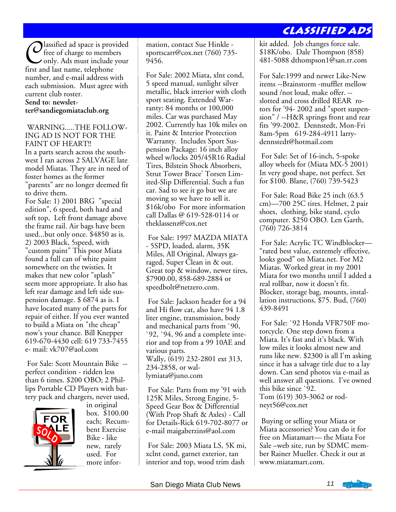# **Classified Ads**

Ulassified ad space is provided<br>free of charge to members<br>first and last name, telephone free of charge to members only. Ads must include your first and last name, telephone number, and e-mail address with each submission. Must agree with current club roster. **Send to: newsletter@sandiegomiataclub.org** 

### WARNING.....THE FOLLOW-ING AD IS NOT FOR THE FAINT OF HEART!!

In a parts search across the southwest I ran across 2 SALVAGE late model Miatas. They are in need of foster homes as the former "parents" are no longer deemed fit to drive them. For Sale: 1) 2001 BRG "special edition", 6 speed, both hard and soft top, Left front damage above the frame rail. Air bags have been used...but only once. \$4850 as is. 2) 2003 Black, 5speed, with "custom paint" This poor Miata found a full can of white paint somewhere on the twisties. It makes that new color "splash" seem more appropriate. It also has left rear damage and left side suspension damage. \$ 6874 as is. I

have located many of the parts for repair of either. If you ever wanted to build a Miata on "the cheap" now's your chance. Bill Knepper 619-670-4430 cell: 619 733-7455 e- mail: vk707@aol.com

 For Sale: Scott Mountain Bike - perfect condition - ridden less than 6 times. \$200 OBO; 2 Phillips Portable CD Players with battery pack and chargers, never used,



in original box. \$100.00 each; Recumbent Exercise Bike - like new, rarely used. For more infor-

mation, contact Sue Hinkle sportscarr@cox.net (760) 735- 9456.

For Sale: 2002 Miata, xlnt cond, 5 speed manual, sunlight silver metallic, black interior with cloth sport seating. Extended Warranty: 84 months or 100,000 miles. Car was purchased May 2002. Currently has 10k miles on it. Paint & Interior Protection Warranty. Includes Sport Suspension Package: 16 inch alloy wheel w/locks 205/45R16 Radial Tires, Bilstein Shock Absorbers, Strut Tower Brace' Torsen Limited-Slip Differential. Such a fun car. Sad to see it go but we are moving so we have to sell it. \$16k/obo For more information call Dallas @ 619-528-0114 or theklassenz@cox.net

 For Sale: 1997 MAZDA MIATA - 5SPD, loaded, alarm, 35K Miles, All Original, Always garaged, Super Clean in & out. Great top & window, newer tires, \$7900.00, 858-689-2884 or speedbolt@netzero.com.

 For Sale: Jackson header for a 94 and Hi flow cat, also have 94 1.8 liter engine, transmission, body and mechanical parts from `90, `92, `94, 96 and a complete interior and top from a 99 10AE and various parts. Wally, (619) 232-2801 ext 313, 234-2858, or wallymiata@juno.com

 For Sale: Parts from my '91 with 125K Miles, Strong Engine, 5- Speed Gear Box & Differential (With Prop Shaft & Axles) - Call for Details-Rick 619-702-8077 or e-mail maigaberzins@aol.com

 For Sale: 2003 Miata LS, 5K mi, xclnt cond, garnet exterior, tan interior and top, wood trim dash

kit added. Job changes force sale. \$18K/obo. Dale Thompson (858) 481-5088 dthompson1@san.rr.com

For Sale:1999 and newer Like-New items --Brainstorm -muffler mellow sound /not loud, make offer. - slotted and cross drilled REAR rotors for '94- 2002 and "sport suspension" / --H&R springs front and rear fits '99-2002. Dennstedt, Mon-Fri 8am-5pm 619-284-4911 larrydennstedt@hotmail.com

 For Sale: Set of 16-inch, 5-spoke alloy wheels for (Miata MX-5 2001) In very good shape, not perfect. Set for \$100. Blane, (760) 739-5423

 For Sale: Road Bike 25 inch (63.5 cm)—700 25C tires. Helmet, 2 pair shoes, clothing, bike stand, cyclo computer. \$250 OBO. Len Garth, (760) 726-3814

 For Sale: Acrylic TC Windblocker— "rated best value, extremely effective, looks good" on Miata.net. For M2 Miatas. Worked great in my 2001 Miata for two months until I added a real rollbar, now it doesn't fit. Blocker, storage bag, mounts, installation instructions, \$75. Bud, (760) 439-8491

 For Sale: `92 Honda VFR750F motorcycle. One step down from a Miata. It's fast and it's black. With low miles it looks almost new and runs like new. \$2300 is all I'm asking since it has a salvage title due to a lay down. Can send photos via e-mail as well answer all questions. I've owned this bike since `92. Tom (619) 303-3062 or rod-

neyt56@cox.net

 Buying or selling your Miata or Miata accessories? You can do it for free on Miatamart— the Miata For Sale –web site, run by SDMC member Rainer Mueller. Check it out at www.miatamart.com.